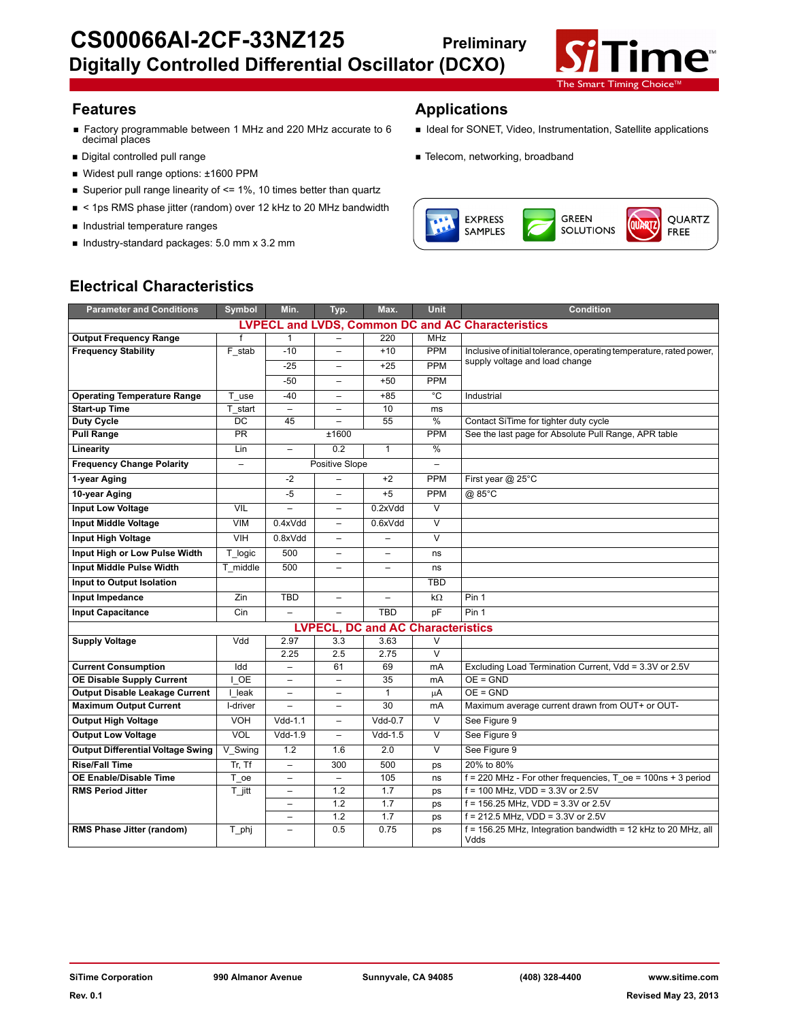

- Factory programmable between 1 MHz and 220 MHz accurate to 6 <br>decimal places<br>
- 
- Widest pull range options: ±1600 PPM
- Superior pull range linearity of  $\leq$  1%, 10 times better than quartz
- < 1ps RMS phase jitter (random) over 12 kHz to 20 MHz bandwidth
- Industrial temperature ranges
- Industry-standard packages: 5.0 mm x 3.2 mm

# **Features Applications**

- 
- Digital controlled pull range **Telecom** Number of Telecom, networking, broadband



# **Electrical Characteristics**

| <b>Parameter and Conditions</b>          | Symbol            | Min.                     | Typ.                                     | Max.                     | <b>Unit</b>              | <b>Condition</b>                                                        |  |
|------------------------------------------|-------------------|--------------------------|------------------------------------------|--------------------------|--------------------------|-------------------------------------------------------------------------|--|
|                                          |                   |                          |                                          |                          |                          | <b>LVPECL and LVDS, Common DC and AC Characteristics</b>                |  |
| <b>Output Frequency Range</b>            | f                 | 1                        |                                          | 220                      | <b>MHz</b>               |                                                                         |  |
| <b>Frequency Stability</b>               | F stab            | $-10$                    | $\overline{a}$                           | $+10$                    | <b>PPM</b>               | Inclusive of initial tolerance, operating temperature, rated power,     |  |
|                                          |                   | $-25$                    | $\overline{a}$                           | $+25$                    | <b>PPM</b>               | supply voltage and load change                                          |  |
|                                          |                   | $-50$                    | $\overline{\phantom{0}}$                 | $+50$                    | <b>PPM</b>               |                                                                         |  |
| <b>Operating Temperature Range</b>       | T use             | $-40$                    | $\overline{\phantom{0}}$                 | $+85$                    | °C                       | Industrial                                                              |  |
| <b>Start-up Time</b>                     | T start           | $\overline{\phantom{0}}$ | $\overline{\phantom{0}}$                 | 10                       | ms                       |                                                                         |  |
| <b>Duty Cycle</b>                        | DC                | 45                       | $\overline{\phantom{0}}$                 | 55                       | %                        | Contact SiTime for tighter duty cycle                                   |  |
| <b>Pull Range</b>                        | PR                |                          | ±1600                                    |                          | <b>PPM</b>               | See the last page for Absolute Pull Range, APR table                    |  |
| Linearity                                | Lin               | $\overline{a}$           | 0.2                                      | $\mathbf{1}$             | %                        |                                                                         |  |
| <b>Frequency Change Polarity</b>         | $\qquad \qquad -$ |                          | Positive Slope                           |                          | $\overline{\phantom{0}}$ |                                                                         |  |
| 1-year Aging                             |                   | $-2$                     | $\overline{\phantom{0}}$                 | $+2$                     | <b>PPM</b>               | First year @ 25°C                                                       |  |
| 10-year Aging                            |                   | $-5$                     | $\overline{\phantom{0}}$                 | $+5$                     | <b>PPM</b>               | @ 85°C                                                                  |  |
| <b>Input Low Voltage</b>                 | <b>VIL</b>        | $\overline{a}$           | $\equiv$                                 | 0.2xVdd                  | $\overline{\vee}$        |                                                                         |  |
| <b>Input Middle Voltage</b>              | <b>VIM</b>        | 0.4xVdd                  | $\overline{\phantom{0}}$                 | 0.6xVdd                  | $\overline{\mathsf{v}}$  |                                                                         |  |
| <b>Input High Voltage</b>                | VIH               | 0.8xVdd                  | $\overline{a}$                           | $\overline{\phantom{m}}$ | $\overline{\mathsf{v}}$  |                                                                         |  |
| Input High or Low Pulse Width            | T logic           | 500                      | $\overline{\phantom{0}}$                 |                          | ns                       |                                                                         |  |
| <b>Input Middle Pulse Width</b>          | T middle          | 500                      | $\overline{\phantom{0}}$                 | $\overline{\phantom{0}}$ | ns                       |                                                                         |  |
| Input to Output Isolation                |                   |                          |                                          |                          | <b>TBD</b>               |                                                                         |  |
| Input Impedance                          | Zin               | <b>TBD</b>               | $\qquad \qquad -$                        | $\overline{\phantom{a}}$ | $k\Omega$                | Pin 1                                                                   |  |
| <b>Input Capacitance</b>                 | Cin               | $\equiv$                 | $\overline{\phantom{0}}$                 | <b>TBD</b>               | pF                       | Pin 1                                                                   |  |
|                                          |                   |                          | <b>LVPECL, DC and AC Characteristics</b> |                          |                          |                                                                         |  |
| <b>Supply Voltage</b>                    | Vdd               | 2.97                     | 3.3                                      | 3.63                     | $\vee$                   |                                                                         |  |
|                                          |                   | 2.25                     | 2.5                                      | 2.75                     | $\overline{\mathsf{v}}$  |                                                                         |  |
| <b>Current Consumption</b>               | Idd               | $\overline{\phantom{0}}$ | 61                                       | 69                       | mA                       | Excluding Load Termination Current, Vdd = 3.3V or 2.5V                  |  |
| <b>OE Disable Supply Current</b>         | I OE              |                          | $\overline{\phantom{0}}$                 | 35                       | mA                       | $OE = GND$                                                              |  |
| <b>Output Disable Leakage Current</b>    | I leak            | $\overline{\phantom{0}}$ | $\overline{\phantom{0}}$                 | 1                        | μA                       | $OE = GND$                                                              |  |
| <b>Maximum Output Current</b>            | I-driver          |                          | $\overline{\phantom{0}}$                 | 30                       | mA                       | Maximum average current drawn from OUT+ or OUT-                         |  |
| <b>Output High Voltage</b>               | VOH               | $Vdd-1.1$                | $\overline{\phantom{0}}$                 | $Vdd-0.7$                | $\vee$                   | See Figure 9                                                            |  |
| <b>Output Low Voltage</b>                | <b>VOL</b>        | $Vdd-1.9$                | $\qquad \qquad -$                        | $Vdd-1.5$                | $\overline{\vee}$        | See Figure 9                                                            |  |
| <b>Output Differential Voltage Swing</b> | V Swing           | 1.2                      | 1.6                                      | 2.0                      | $\overline{\vee}$        | See Figure 9                                                            |  |
| <b>Rise/Fall Time</b>                    | $Tr.$ Tf          | $\equiv$                 | 300                                      | 500                      | ps                       | 20% to 80%                                                              |  |
| <b>OE Enable/Disable Time</b>            | T oe              | -                        |                                          | 105                      | ns                       | $f = 220$ MHz - For other frequencies, T oe = 100ns + 3 period          |  |
| <b>RMS Period Jitter</b>                 | T jitt            | L.                       | 1.2                                      | 1.7                      | ps                       | $f = 100$ MHz, VDD = 3.3V or 2.5V                                       |  |
|                                          |                   | ÷                        | 1.2                                      | 1.7                      | ps                       | $f = 156.25$ MHz. VDD = 3.3V or 2.5V                                    |  |
|                                          |                   | $\overline{a}$           | 1.2                                      | 1.7                      | ps                       | $f = 212.5$ MHz, VDD = 3.3V or 2.5V                                     |  |
| RMS Phase Jitter (random)                | T phj             | $\overline{\phantom{0}}$ | 0.5                                      | 0.75                     | ps                       | $f = 156.25$ MHz, Integration bandwidth = 12 kHz to 20 MHz, all<br>Vdds |  |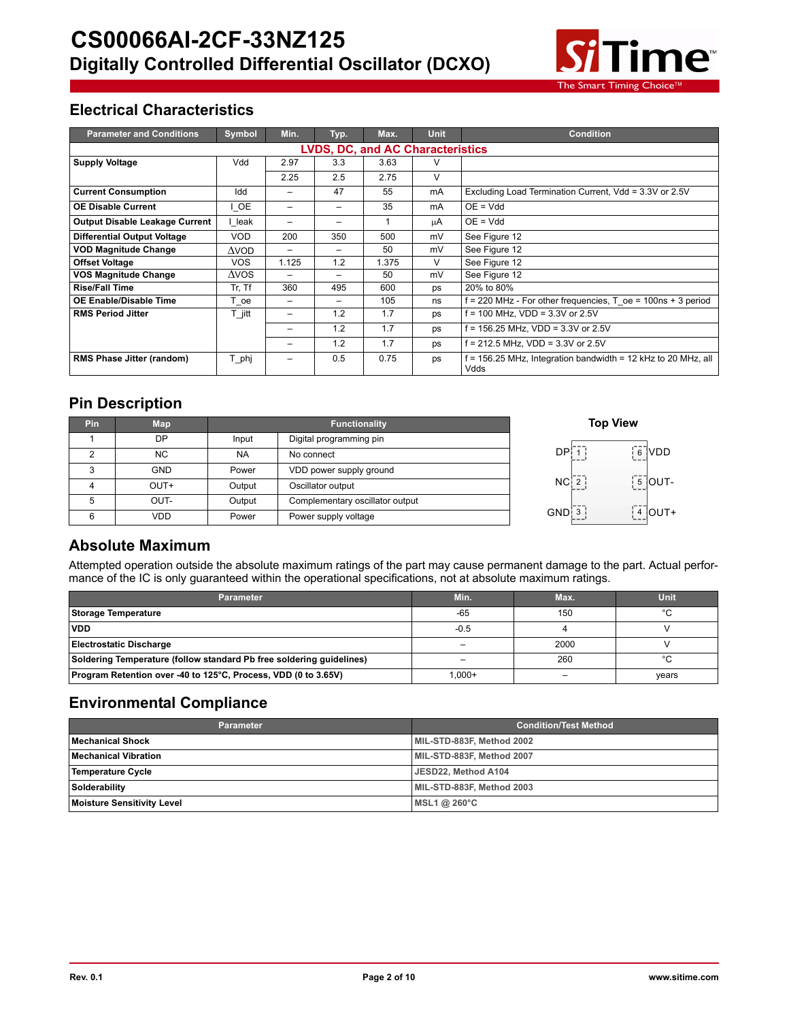

# **Electrical Characteristics**

| <b>Parameter and Conditions</b>         | Symbol          | Min.                     | Typ.                     | Max.  | <b>Unit</b> | <b>Condition</b>                                                      |  |  |  |  |
|-----------------------------------------|-----------------|--------------------------|--------------------------|-------|-------------|-----------------------------------------------------------------------|--|--|--|--|
| <b>LVDS, DC, and AC Characteristics</b> |                 |                          |                          |       |             |                                                                       |  |  |  |  |
| <b>Supply Voltage</b>                   | Vdd             | 2.97                     | 3.3                      | 3.63  | v           |                                                                       |  |  |  |  |
|                                         |                 | 2.25                     | 2.5                      | 2.75  | V           |                                                                       |  |  |  |  |
| <b>Current Consumption</b>              | Idd             | -                        | 47                       | 55    | mA          | Excluding Load Termination Current, Vdd = 3.3V or 2.5V                |  |  |  |  |
| <b>OE Disable Current</b>               | I OE            | $\overline{\phantom{0}}$ | $\qquad \qquad$          | 35    | mA          | $OE = Vdd$                                                            |  |  |  |  |
| <b>Output Disable Leakage Current</b>   | leak            |                          |                          |       | μA          | $OE = Vdd$                                                            |  |  |  |  |
| <b>Differential Output Voltage</b>      | <b>VOD</b>      | 200                      | 350                      | 500   | mV          | See Figure 12                                                         |  |  |  |  |
| <b>VOD Magnitude Change</b>             | $\Delta$ vod    | $\overline{\phantom{0}}$ | $\qquad \qquad$          | 50    | mV          | See Figure 12                                                         |  |  |  |  |
| <b>Offset Voltage</b>                   | <b>VOS</b>      | 1.125                    | 1.2                      | 1.375 | V           | See Figure 12                                                         |  |  |  |  |
| <b>VOS Magnitude Change</b>             | $\triangle VOS$ |                          |                          | 50    | mV          | See Figure 12                                                         |  |  |  |  |
| <b>Rise/Fall Time</b>                   | Tr, Tf          | 360                      | 495                      | 600   | ps          | 20% to 80%                                                            |  |  |  |  |
| <b>OE Enable/Disable Time</b>           | $T\_{oe}$       | $\overline{\phantom{0}}$ | $\overline{\phantom{0}}$ | 105   | ns          | $f = 220$ MHz - For other frequencies, T $oe = 100$ ns + 3 period     |  |  |  |  |
| <b>RMS Period Jitter</b>                | T jitt          | $\overline{\phantom{0}}$ | 1.2                      | 1.7   | ps          | f = 100 MHz. VDD = 3.3V or 2.5V                                       |  |  |  |  |
|                                         |                 | -                        | 1.2                      | 1.7   | ps          | f = 156.25 MHz, VDD = 3.3V or 2.5V                                    |  |  |  |  |
|                                         |                 | -                        | 1.2                      | 1.7   | ps          | f = 212.5 MHz, VDD = 3.3V or 2.5V                                     |  |  |  |  |
| <b>RMS Phase Jitter (random)</b>        | T phj           | -                        | 0.5                      | 0.75  | ps          | f = 156.25 MHz, Integration bandwidth = 12 kHz to 20 MHz, all<br>Vdds |  |  |  |  |

# **Pin Description**

| Pin | <b>Map</b> |           | <b>Top Vie</b>                  |                   |
|-----|------------|-----------|---------------------------------|-------------------|
|     | <b>DP</b>  | Input     | Digital programming pin         |                   |
|     | <b>NC</b>  | <b>NA</b> | No connect                      | DP¦               |
| 3   | <b>GND</b> | Power     | VDD power supply ground         |                   |
|     | OUT+       | Output    | Oscillator output               | NC <sub>1</sub> 2 |
| 5   | OUT-       | Output    | Complementary oscillator output |                   |
| 6   | <b>VDD</b> | Power     | Power supply voltage            | GND: 3            |



# 3 **4** OUT+ DP 1 6 VDD  $5$  OUT-

# **Absolute Maximum**

Attempted operation outside the absolute maximum ratings of the part may cause permanent damage to the part. Actual performance of the IC is only guaranteed within the operational specifications, not at absolute maximum ratings.

| <b>Parameter</b>                                                     | Min.      | Max. | Unit    |
|----------------------------------------------------------------------|-----------|------|---------|
| <b>Storage Temperature</b>                                           | $-65$     | 150  | $\circ$ |
| <b>VDD</b>                                                           | $-0.5$    |      |         |
| Electrostatic Discharge                                              |           | 2000 |         |
| Soldering Temperature (follow standard Pb free soldering guidelines) |           | 260  | $\circ$ |
| Program Retention over -40 to 125°C, Process, VDD (0 to 3.65V)       | $1.000 +$ |      | years   |

# **Environmental Compliance**

| <b>Parameter</b>                  | <b>Condition/Test Method</b> |
|-----------------------------------|------------------------------|
| Mechanical Shock                  | MIL-STD-883F, Method 2002    |
| <b>Mechanical Vibration</b>       | MIL-STD-883F, Method 2007    |
| Temperature Cycle                 | JESD22. Method A104          |
| Solderability                     | MIL-STD-883F, Method 2003    |
| <b>Moisture Sensitivity Level</b> | MSL1 @ $260^{\circ}$ C       |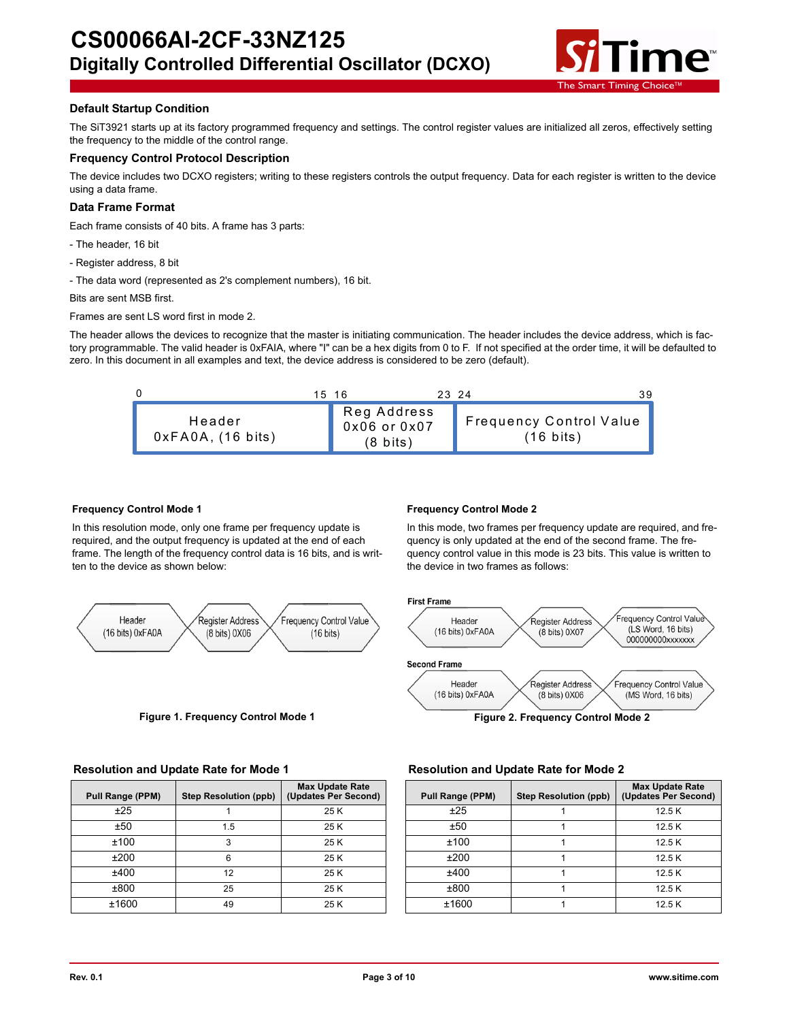

### **Default Startup Condition**

The SiT3921 starts up at its factory programmed frequency and settings. The control register values are initialized all zeros, effectively setting the frequency to the middle of the control range.

### **Frequency Control Protocol Description**

The device includes two DCXO registers; writing to these registers controls the output frequency. Data for each register is written to the device using a data frame.

### **Data Frame Format**

Each frame consists of 40 bits. A frame has 3 parts:

- The header, 16 bit
- Register address, 8 bit
- The data word (represented as 2's complement numbers), 16 bit.

Bits are sent MSB first.

Frames are sent LS word first in mode 2.

The header allows the devices to recognize that the master is initiating communication. The header includes the device address, which is factory programmable. The valid header is 0xFAIA, where "I" can be a hex digits from 0 to F. If not specified at the order time, it will be defaulted to zero. In this document in all examples and text, the device address is considered to be zero (default).



### **Frequency Control Mode 1**

In this resolution mode, only one frame per frequency update is required, and the output frequency is updated at the end of each frame. The length of the frequency control data is 16 bits, and is written to the device as shown below:



### **Frequency Control Mode 2**

In this mode, two frames per frequency update are required, and frequency is only updated at the end of the second frame. The frequency control value in this mode is 23 bits. This value is written to the device in two frames as follows:



**Figure 1. Frequency Control Mode 1 Figure 2. Frequency Control Mode 2**

### **Resolution and Update Rate for Mode 1 Resolution and Update Rate for Mode 2**

| Pull Range (PPM) | <b>Step Resolution (ppb)</b> | <b>Max Update Rate</b><br>(Updates Per Second) | Pull Range (PPM) | <b>Step Resolution (ppb)</b> | Max Update<br>! Updates Per) |
|------------------|------------------------------|------------------------------------------------|------------------|------------------------------|------------------------------|
| ±25              |                              | 25 K                                           | ±25              |                              | 12.5K                        |
| ±50              | 1.5                          | 25K                                            | ±50              |                              | 12.5K                        |
| ±100             |                              | 25K                                            | ±100             |                              | 12.5K                        |
| ±200             |                              | 25 K                                           | ±200             |                              | 12.5K                        |
| ±400             | 12                           | 25 K                                           | ±400             |                              | 12.5K                        |
| ±800             | 25                           | 25 K                                           | ±800             |                              | 12.5K                        |
| ±1600            | 49                           | 25 K                                           | ±1600            |                              | 12.5K                        |

| ange (PPM) | <b>Step Resolution (ppb)</b> | <b>Max Update Rate</b><br>(Updates Per Second) | Pull Range (PPM) | <b>Step Resolution (ppb)</b> | <b>Max Update Rate</b><br>(Updates Per Second) |
|------------|------------------------------|------------------------------------------------|------------------|------------------------------|------------------------------------------------|
| ±25        |                              | 25 K                                           | ±25              |                              | 12.5K                                          |
| ±50        | .5                           | 25K                                            | ±50              |                              | 12.5 K                                         |
| ±100       |                              | 25 K                                           | ±100             |                              | 12.5K                                          |
| ±200       |                              | 25K                                            | ±200             |                              | 12.5K                                          |
| ±400       | 12                           | 25 K                                           | ±400             |                              | 12.5K                                          |
| ±800       | 25                           | 25 K                                           | ±800             |                              | 12.5K                                          |
| £1600      | 49                           | 25K                                            | ±1600            |                              | 12.5K                                          |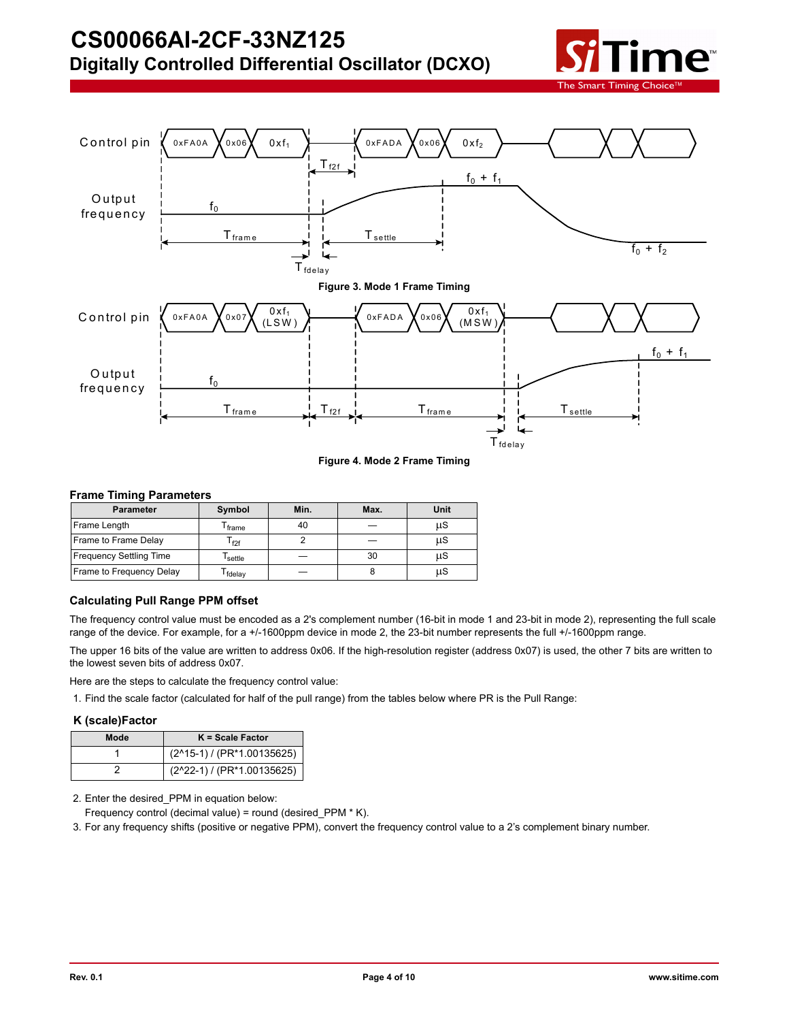



**Figure 4. Mode 2 Frame Timing**

### **Frame Timing Parameters**

| <b>Parameter</b>               | Symbol                      | Min. | Max. | Unit |
|--------------------------------|-----------------------------|------|------|------|
| Frame Length                   | <sup>I</sup> frame          | 40   |      | μS   |
| Frame to Frame Delay           | $\mathsf{r}_{\mathsf{f2f}}$ |      |      | μS   |
| <b>Frequency Settling Time</b> | settle                      |      | 30   | μS   |
| Frame to Frequency Delay       | fdelay                      |      |      | μS   |

### **Calculating Pull Range PPM offset**

The frequency control value must be encoded as a 2's complement number (16-bit in mode 1 and 23-bit in mode 2), representing the full scale range of the device. For example, for a +/-1600ppm device in mode 2, the 23-bit number represents the full +/-1600ppm range.

The upper 16 bits of the value are written to address 0x06. If the high-resolution register (address 0x07) is used, the other 7 bits are written to the lowest seven bits of address 0x07.

Here are the steps to calculate the frequency control value:

1. Find the scale factor (calculated for half of the pull range) from the tables below where PR is the Pull Range:

### **K (scale)Factor**

| Mode | $K = Scale Factor$         |
|------|----------------------------|
|      | (2^15-1) / (PR*1.00135625) |
|      | (2^22-1) / (PR*1.00135625) |

2. Enter the desired\_PPM in equation below:

Frequency control (decimal value) = round (desired\_PPM \* K).

3. For any frequency shifts (positive or negative PPM), convert the frequency control value to a 2's complement binary number.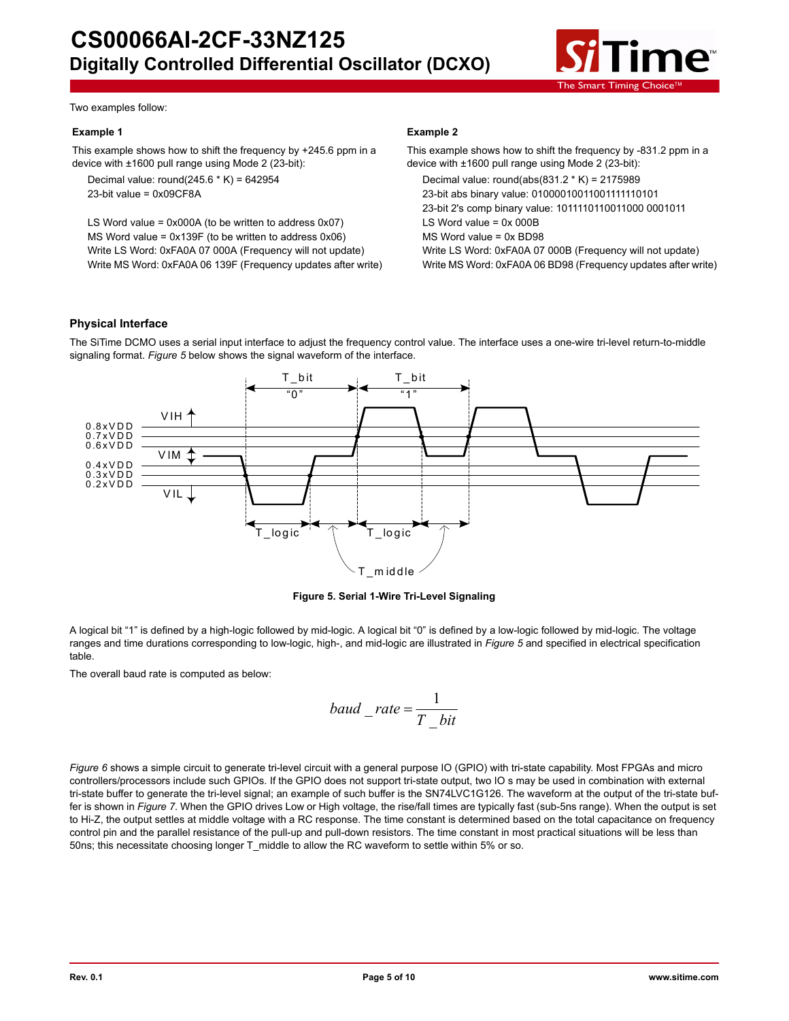

Two examples follow:

### **Example 1**

This example shows how to shift the frequency by +245.6 ppm in a device with ±1600 pull range using Mode 2 (23-bit):

Decimal value: round(245.6  $*$  K) = 642954 23-bit value = 0x09CF8A

LS Word value = 0x000A (to be written to address 0x07) MS Word value = 0x139F (to be written to address 0x06) Write LS Word: 0xFA0A 07 000A (Frequency will not update) Write MS Word: 0xFA0A 06 139F (Frequency updates after write)

### **Example 2**

This example shows how to shift the frequency by -831.2 ppm in a device with ±1600 pull range using Mode 2 (23-bit): Decimal value: round(abs(831.2 \* K) = 2175989 23-bit abs binary value: 01000010011001111110101 23-bit 2's comp binary value: 1011110110011000 0001011 LS Word value =  $0x000B$ MS Word value = 0x BD98 Write LS Word: 0xFA0A 07 000B (Frequency will not update) Write MS Word: 0xFA0A 06 BD98 (Frequency updates after write)

### **Physical Interface**

The SiTime DCMO uses a serial input interface to adjust the frequency control value. The interface uses a one-wire tri-level return-to-middle signaling format. *Figure 5* below shows the signal waveform of the interface.



**Figure 5. Serial 1-Wire Tri-Level Signaling**

A logical bit "1" is defined by a high-logic followed by mid-logic. A logical bit "0" is defined by a low-logic followed by mid-logic. The voltage ranges and time durations corresponding to low-logic, high-, and mid-logic are illustrated in *Figure 5* and specified in electrical specification table.

The overall baud rate is computed as below:

$$
baud\_\_rate = \frac{1}{T\_\}bit}
$$

*Figure 6* shows a simple circuit to generate tri-level circuit with a general purpose IO (GPIO) with tri-state capability. Most FPGAs and micro controllers/processors include such GPIOs. If the GPIO does not support tri-state output, two IO s may be used in combination with external tri-state buffer to generate the tri-level signal; an example of such buffer is the SN74LVC1G126. The waveform at the output of the tri-state buffer is shown in *Figure 7*. When the GPIO drives Low or High voltage, the rise/fall times are typically fast (sub-5ns range). When the output is set to Hi-Z, the output settles at middle voltage with a RC response. The time constant is determined based on the total capacitance on frequency control pin and the parallel resistance of the pull-up and pull-down resistors. The time constant in most practical situations will be less than 50ns; this necessitate choosing longer T\_middle to allow the RC waveform to settle within 5% or so.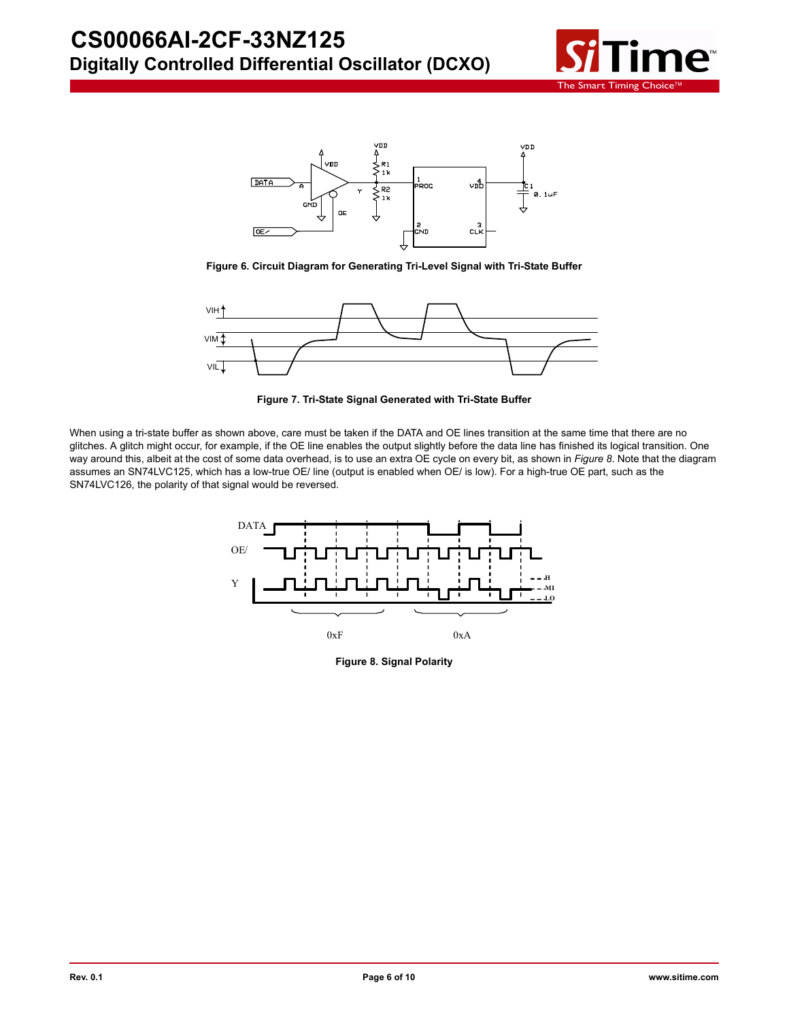



**Figure 6. Circuit Diagram for Generating Tri-Level Signal with Tri-State Buffer**



**Figure 7. Tri-State Signal Generated with Tri-State Buffer**

When using a tri-state buffer as shown above, care must be taken if the DATA and OE lines transition at the same time that there are no glitches. A glitch might occur, for example, if the OE line enables the output slightly before the data line has finished its logical transition. One way around this, albeit at the cost of some data overhead, is to use an extra OE cycle on every bit, as shown in Figure 8. Note that the diagram assumes an SN74LVC125, which has a low-true OE/ line (output is enabled when OE/ is low). For a high-true OE part, such as the SN74LVC126, the polarity of that signal would be reversed.



**Figure 8. Signal Polarity**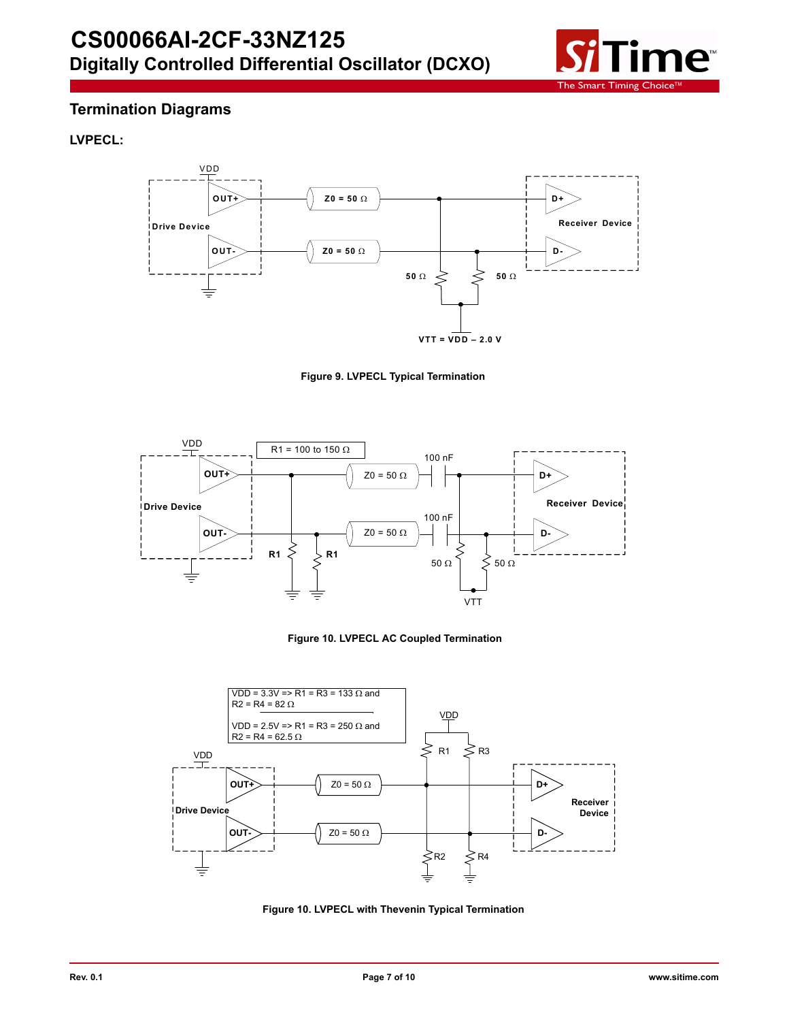

# **Termination Diagrams**

## **LVPECL:**











**Figure 10. LVPECL with Thevenin Typical Termination**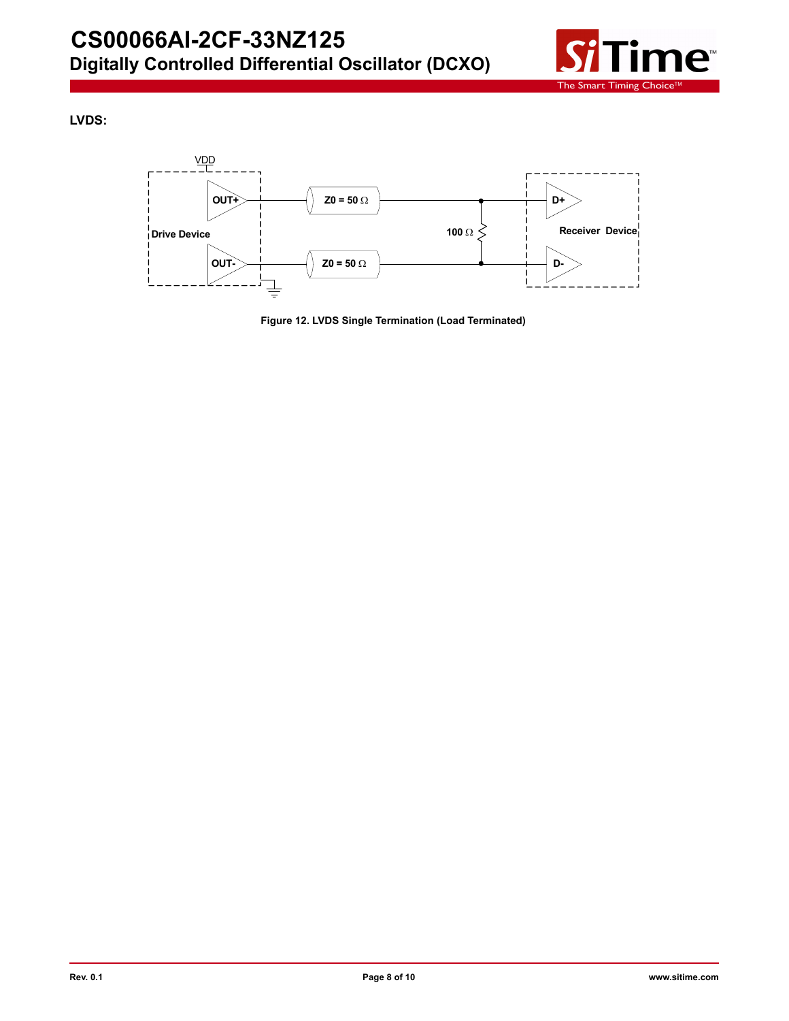

**LVDS:**



**Figure 12. LVDS Single Termination (Load Terminated)**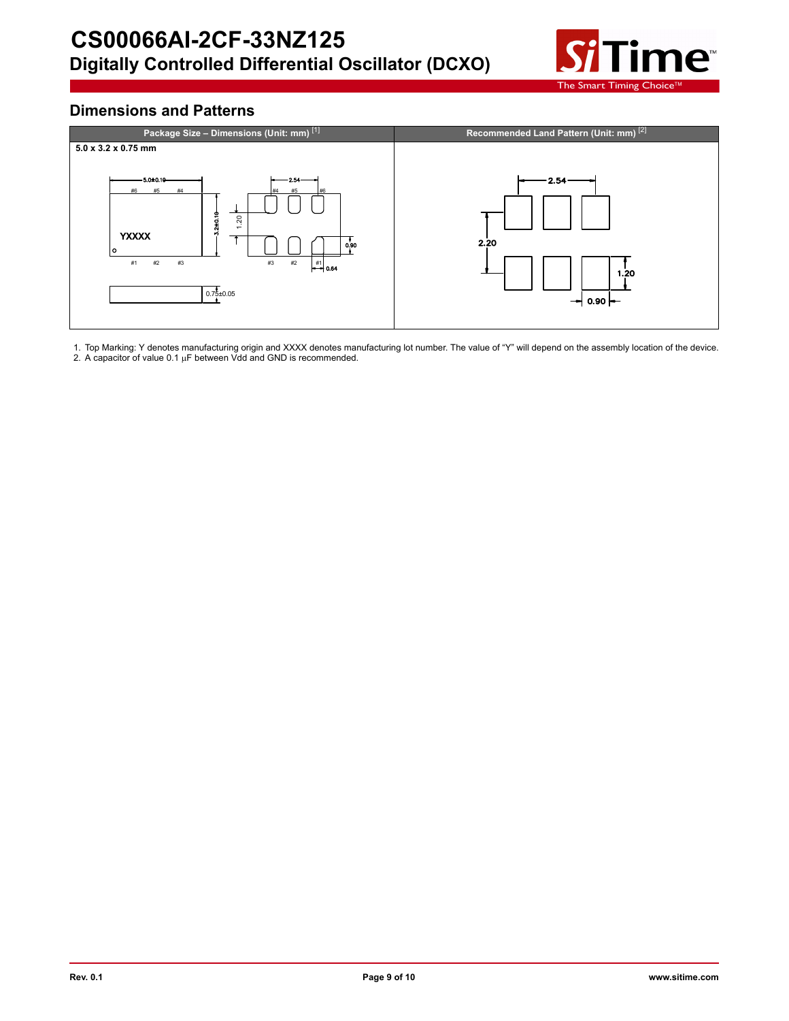

# **Dimensions and Patterns**



1. Top Marking: Y denotes manufacturing origin and XXXX denotes manufacturing lot number. The value of "Y" will depend on the assembly location of the device.<br>2. A capacitor of value 0.1 μF between Vdd and GND is recommen